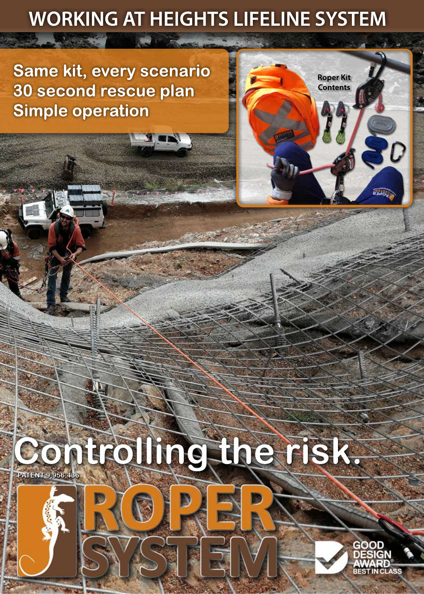# **WORKING AT HEIGHTS LIFELINE SYSTEM**

**Same kit, every scenario 30 second rescue plan Simple operation**

1. 2. 45



# **Controlling the risk.**